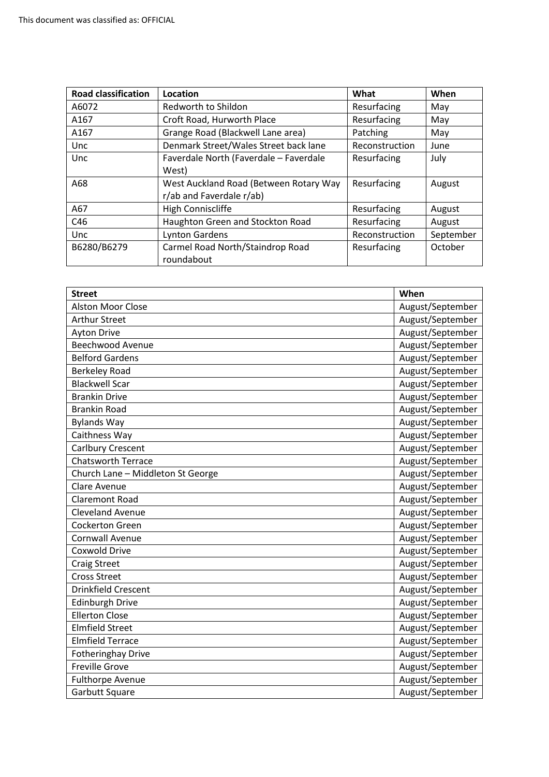| <b>Road classification</b> | Location                               | What           | When      |
|----------------------------|----------------------------------------|----------------|-----------|
| A6072                      | Redworth to Shildon                    | Resurfacing    | May       |
| A167                       | Croft Road, Hurworth Place             | Resurfacing    | May       |
| A167                       | Grange Road (Blackwell Lane area)      | Patching       | May       |
| Unc                        | Denmark Street/Wales Street back lane  | Reconstruction | June      |
| Unc                        | Faverdale North (Faverdale - Faverdale | Resurfacing    | July      |
|                            | West)                                  |                |           |
| A68                        | West Auckland Road (Between Rotary Way | Resurfacing    | August    |
|                            | r/ab and Faverdale r/ab)               |                |           |
| A67                        | High Conniscliffe                      | Resurfacing    | August    |
| C46                        | Haughton Green and Stockton Road       | Resurfacing    | August    |
| Unc                        | <b>Lynton Gardens</b>                  | Reconstruction | September |
| B6280/B6279                | Carmel Road North/Staindrop Road       | Resurfacing    | October   |
|                            | roundabout                             |                |           |

| <b>Street</b>                     | When             |
|-----------------------------------|------------------|
| <b>Alston Moor Close</b>          | August/September |
| <b>Arthur Street</b>              | August/September |
| <b>Ayton Drive</b>                | August/September |
| <b>Beechwood Avenue</b>           | August/September |
| <b>Belford Gardens</b>            | August/September |
| <b>Berkeley Road</b>              | August/September |
| <b>Blackwell Scar</b>             | August/September |
| <b>Brankin Drive</b>              | August/September |
| <b>Brankin Road</b>               | August/September |
| <b>Bylands Way</b>                | August/September |
| Caithness Way                     | August/September |
| Carlbury Crescent                 | August/September |
| <b>Chatsworth Terrace</b>         | August/September |
| Church Lane - Middleton St George | August/September |
| Clare Avenue                      | August/September |
| <b>Claremont Road</b>             | August/September |
| <b>Cleveland Avenue</b>           | August/September |
| <b>Cockerton Green</b>            | August/September |
| <b>Cornwall Avenue</b>            | August/September |
| <b>Coxwold Drive</b>              | August/September |
| <b>Craig Street</b>               | August/September |
| <b>Cross Street</b>               | August/September |
| <b>Drinkfield Crescent</b>        | August/September |
| <b>Edinburgh Drive</b>            | August/September |
| <b>Ellerton Close</b>             | August/September |
| <b>Elmfield Street</b>            | August/September |
| <b>Elmfield Terrace</b>           | August/September |
| <b>Fotheringhay Drive</b>         | August/September |
| <b>Freville Grove</b>             | August/September |
| <b>Fulthorpe Avenue</b>           | August/September |
| Garbutt Square                    | August/September |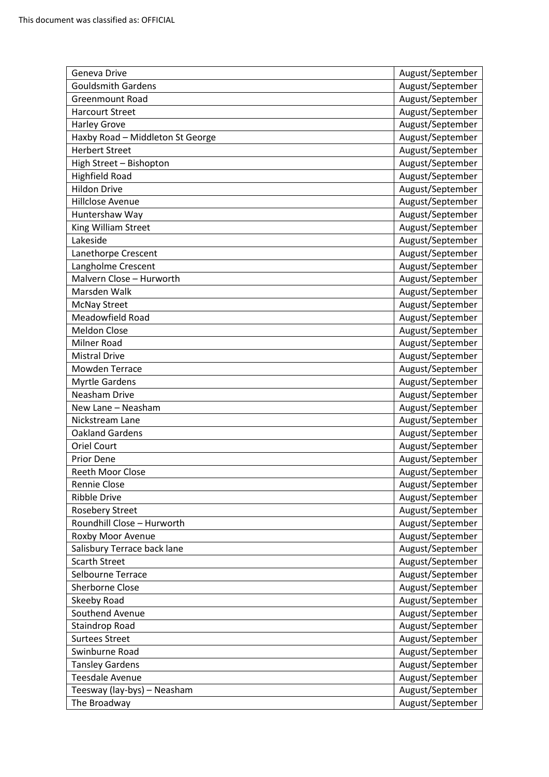| Geneva Drive                     | August/September |
|----------------------------------|------------------|
| <b>Gouldsmith Gardens</b>        | August/September |
| <b>Greenmount Road</b>           | August/September |
| <b>Harcourt Street</b>           | August/September |
| <b>Harley Grove</b>              | August/September |
| Haxby Road - Middleton St George | August/September |
| <b>Herbert Street</b>            | August/September |
| High Street - Bishopton          | August/September |
| <b>Highfield Road</b>            | August/September |
| <b>Hildon Drive</b>              | August/September |
| Hillclose Avenue                 | August/September |
| Huntershaw Way                   | August/September |
| King William Street              | August/September |
| Lakeside                         | August/September |
| Lanethorpe Crescent              | August/September |
| Langholme Crescent               | August/September |
| Malvern Close - Hurworth         | August/September |
| Marsden Walk                     | August/September |
| <b>McNay Street</b>              | August/September |
| Meadowfield Road                 | August/September |
| <b>Meldon Close</b>              | August/September |
| Milner Road                      | August/September |
| <b>Mistral Drive</b>             | August/September |
| <b>Mowden Terrace</b>            | August/September |
| <b>Myrtle Gardens</b>            | August/September |
| Neasham Drive                    | August/September |
| New Lane - Neasham               | August/September |
| Nickstream Lane                  | August/September |
| <b>Oakland Gardens</b>           | August/September |
| <b>Oriel Court</b>               | August/September |
| <b>Prior Dene</b>                | August/September |
| <b>Reeth Moor Close</b>          | August/September |
| Rennie Close                     | August/September |
| <b>Ribble Drive</b>              | August/September |
| Rosebery Street                  | August/September |
| Roundhill Close - Hurworth       | August/September |
| Roxby Moor Avenue                | August/September |
| Salisbury Terrace back lane      | August/September |
| <b>Scarth Street</b>             | August/September |
| Selbourne Terrace                | August/September |
| Sherborne Close                  | August/September |
| Skeeby Road                      | August/September |
| Southend Avenue                  | August/September |
| Staindrop Road                   | August/September |
| <b>Surtees Street</b>            | August/September |
| Swinburne Road                   | August/September |
| <b>Tansley Gardens</b>           | August/September |
| <b>Teesdale Avenue</b>           | August/September |
| Teesway (lay-bys) - Neasham      | August/September |
| The Broadway                     | August/September |